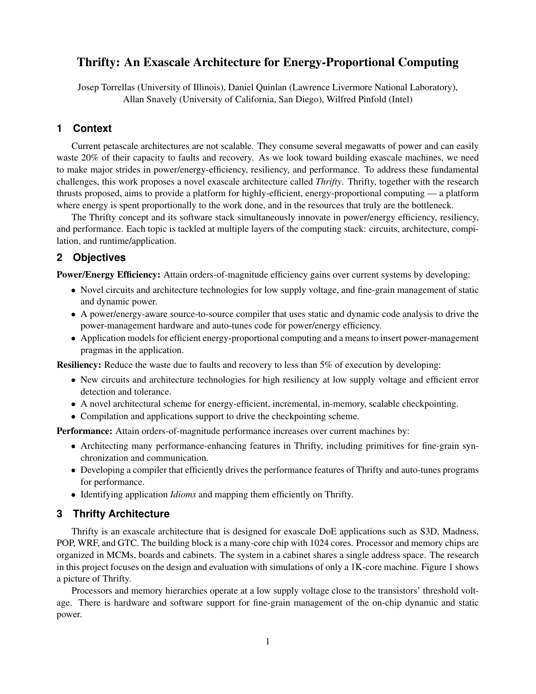# Thrifty: An Exascale Architecture for Energy-Proportional Computing

Josep Torrellas (University of Illinois), Daniel Quinlan (Lawrence Livermore National Laboratory), Allan Snavely (University of California, San Diego), Wilfred Pinfold (Intel)

## **1 Context**

Current petascale architectures are not scalable. They consume several megawatts of power and can easily waste 20% of their capacity to faults and recovery. As we look toward building exascale machines, we need to make major strides in power/energy-efficiency, resiliency, and performance. To address these fundamental challenges, this work proposes a novel exascale architecture called *Thrifty*. Thrifty, together with the research thrusts proposed, aims to provide a platform for highly-efficient, energy-proportional computing — a platform where energy is spent proportionally to the work done, and in the resources that truly are the bottleneck.

The Thrifty concept and its software stack simultaneously innovate in power/energy efficiency, resiliency, and performance. Each topic is tackled at multiple layers of the computing stack: circuits, architecture, compilation, and runtime/application.

## **2 Objectives**

Power/Energy Efficiency: Attain orders-of-magnitude efficiency gains over current systems by developing:

- Novel circuits and architecture technologies for low supply voltage, and fine-grain management of static and dynamic power.
- A power/energy-aware source-to-source compiler that uses static and dynamic code analysis to drive the power-management hardware and auto-tunes code for power/energy efficiency.
- Application models for efficient energy-proportional computing and a means to insert power-management pragmas in the application.

Resiliency: Reduce the waste due to faults and recovery to less than 5% of execution by developing:

- New circuits and architecture technologies for high resiliency at low supply voltage and efficient error detection and tolerance.
- A novel architectural scheme for energy-efficient, incremental, in-memory, scalable checkpointing.
- Compilation and applications support to drive the checkpointing scheme.

Performance: Attain orders-of-magnitude performance increases over current machines by:

- Architecting many performance-enhancing features in Thrifty, including primitives for fine-grain synchronization and communication.
- Developing a compiler that efficiently drives the performance features of Thrifty and auto-tunes programs for performance.
- Identifying application *Idioms* and mapping them efficiently on Thrifty.

#### **3 Thrifty Architecture**

Thrifty is an exascale architecture that is designed for exascale DoE applications such as S3D, Madness, POP, WRF, and GTC. The building block is a many-core chip with 1024 cores. Processor and memory chips are organized in MCMs, boards and cabinets. The system in a cabinet shares a single address space. The research in this project focuses on the design and evaluation with simulations of only a 1K-core machine. Figure 1 shows a picture of Thrifty.

Processors and memory hierarchies operate at a low supply voltage close to the transistors' threshold voltage. There is hardware and software support for fine-grain management of the on-chip dynamic and static power.